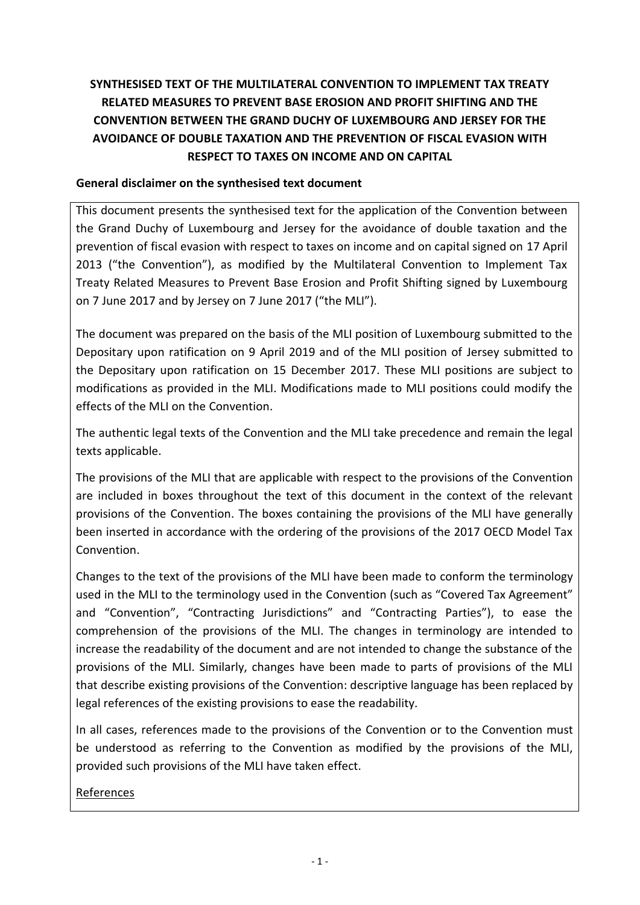# **SYNTHESISED TEXT OF THE MULTILATERAL CONVENTION TO IMPLEMENT TAX TREATY RELATED MEASURES TO PREVENT BASE EROSION AND PROFIT SHIFTING AND THE CONVENTION BETWEEN THE GRAND DUCHY OF LUXEMBOURG AND JERSEY FOR THE AVOIDANCE OF DOUBLE TAXATION AND THE PREVENTION OF FISCAL EVASION WITH RESPECT TO TAXES ON INCOME AND ON CAPITAL**

# **General disclaimer on the synthesised text document**

This document presents the synthesised text for the application of the Convention between the Grand Duchy of Luxembourg and Jersey for the avoidance of double taxation and the prevention of fiscal evasion with respect to taxes on income and on capital signed on 17 April 2013 ("the Convention"), as modified by the Multilateral Convention to Implement Tax Treaty Related Measures to Prevent Base Erosion and Profit Shifting signed by Luxembourg on 7 June 2017 and by Jersey on 7 June 2017 ("the MLI").

The document was prepared on the basis of the MLI position of Luxembourg submitted to the Depositary upon ratification on 9 April 2019 and of the MLI position of Jersey submitted to the Depositary upon ratification on 15 December 2017. These MLI positions are subject to modifications as provided in the MLI. Modifications made to MLI positions could modify the effects of the MLI on the Convention.

The authentic legal texts of the Convention and the MLI take precedence and remain the legal texts applicable.

The provisions of the MLI that are applicable with respect to the provisions of the Convention are included in boxes throughout the text of this document in the context of the relevant provisions of the Convention. The boxes containing the provisions of the MLI have generally been inserted in accordance with the ordering of the provisions of the 2017 OECD Model Tax Convention.

Changes to the text of the provisions of the MLI have been made to conform the terminology used in the MLI to the terminology used in the Convention (such as "Covered Tax Agreement" and "Convention", "Contracting Jurisdictions" and "Contracting Parties"), to ease the comprehension of the provisions of the MLI. The changes in terminology are intended to increase the readability of the document and are not intended to change the substance of the provisions of the MLI. Similarly, changes have been made to parts of provisions of the MLI that describe existing provisions of the Convention: descriptive language has been replaced by legal references of the existing provisions to ease the readability.

In all cases, references made to the provisions of the Convention or to the Convention must be understood as referring to the Convention as modified by the provisions of the MLI, provided such provisions of the MLI have taken effect.

References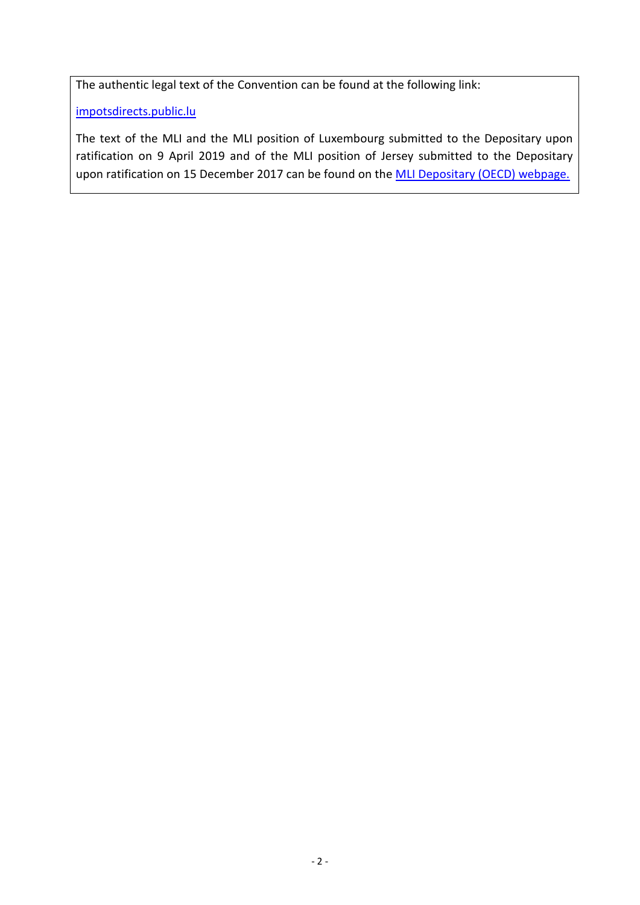The authentic legal text of the Convention can be found at the following link:

[impotsdirects.public.lu](https://impotsdirects.public.lu/fr.html)

The text of the MLI and the MLI position of Luxembourg submitted to the Depositary upon ratification on 9 April 2019 and of the MLI position of Jersey submitted to the Depositary upon ratification on 15 December 2017 can be found on the **MLI Depositary (OECD)** webpage.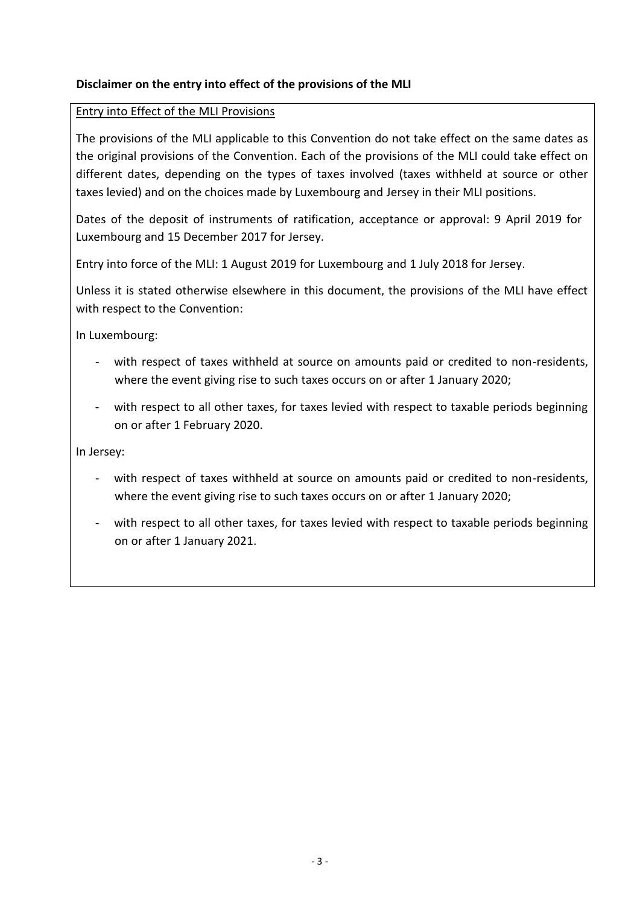# **Disclaimer on the entry into effect of the provisions of the MLI**

#### Entry into Effect of the MLI Provisions

The provisions of the MLI applicable to this Convention do not take effect on the same dates as the original provisions of the Convention. Each of the provisions of the MLI could take effect on different dates, depending on the types of taxes involved (taxes withheld at source or other taxes levied) and on the choices made by Luxembourg and Jersey in their MLI positions.

Dates of the deposit of instruments of ratification, acceptance or approval: 9 April 2019 for Luxembourg and 15 December 2017 for Jersey.

Entry into force of the MLI: 1 August 2019 for Luxembourg and 1 July 2018 for Jersey.

Unless it is stated otherwise elsewhere in this document, the provisions of the MLI have effect with respect to the Convention:

In Luxembourg:

- with respect of taxes withheld at source on amounts paid or credited to non-residents, where the event giving rise to such taxes occurs on or after 1 January 2020;
- with respect to all other taxes, for taxes levied with respect to taxable periods beginning on or after 1 February 2020.

In Jersey:

- with respect of taxes withheld at source on amounts paid or credited to non-residents, where the event giving rise to such taxes occurs on or after 1 January 2020;
- with respect to all other taxes, for taxes levied with respect to taxable periods beginning on or after 1 January 2021.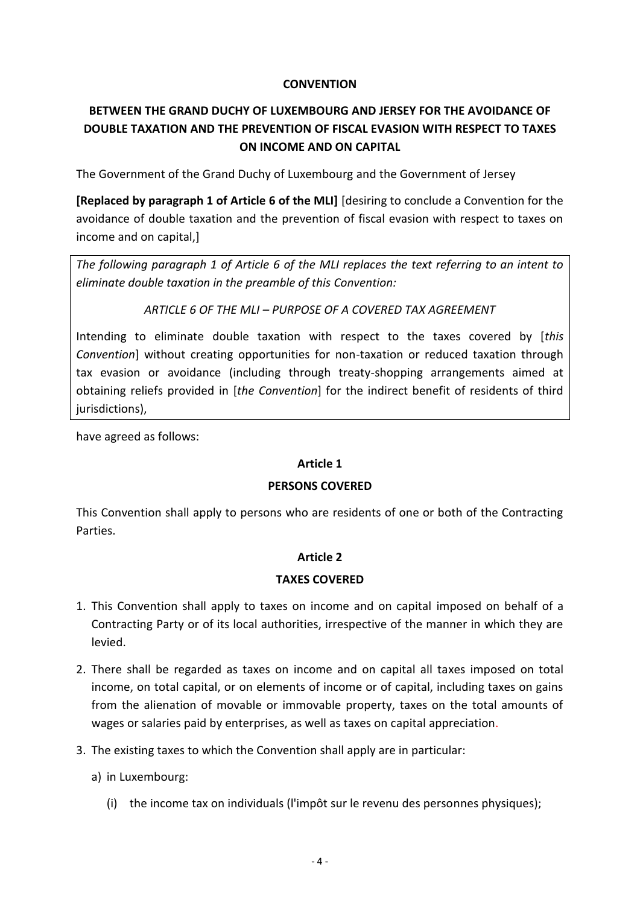#### **CONVENTION**

# **BETWEEN THE GRAND DUCHY OF LUXEMBOURG AND JERSEY FOR THE AVOIDANCE OF DOUBLE TAXATION AND THE PREVENTION OF FISCAL EVASION WITH RESPECT TO TAXES ON INCOME AND ON CAPITAL**

The Government of the Grand Duchy of Luxembourg and the Government of Jersey

**[Replaced by paragraph 1 of Article 6 of the MLI]** [desiring to conclude a Convention for the avoidance of double taxation and the prevention of fiscal evasion with respect to taxes on income and on capital,]

*The following paragraph 1 of Article 6 of the MLI replaces the text referring to an intent to eliminate double taxation in the preamble of this Convention:*

#### *ARTICLE 6 OF THE MLI – PURPOSE OF A COVERED TAX AGREEMENT*

Intending to eliminate double taxation with respect to the taxes covered by [*this Convention*] without creating opportunities for non-taxation or reduced taxation through tax evasion or avoidance (including through treaty-shopping arrangements aimed at obtaining reliefs provided in [*the Convention*] for the indirect benefit of residents of third jurisdictions),

have agreed as follows:

# **Article 1**

#### **PERSONS COVERED**

This Convention shall apply to persons who are residents of one or both of the Contracting Parties.

# **Article 2**

#### **TAXES COVERED**

- 1. This Convention shall apply to taxes on income and on capital imposed on behalf of a Contracting Party or of its local authorities, irrespective of the manner in which they are levied.
- 2. There shall be regarded as taxes on income and on capital all taxes imposed on total income, on total capital, or on elements of income or of capital, including taxes on gains from the alienation of movable or immovable property, taxes on the total amounts of wages or salaries paid by enterprises, as well as taxes on capital appreciation.
- 3. The existing taxes to which the Convention shall apply are in particular:
	- a) in Luxembourg:
		- (i) the income tax on individuals (l'impôt sur le revenu des personnes physiques);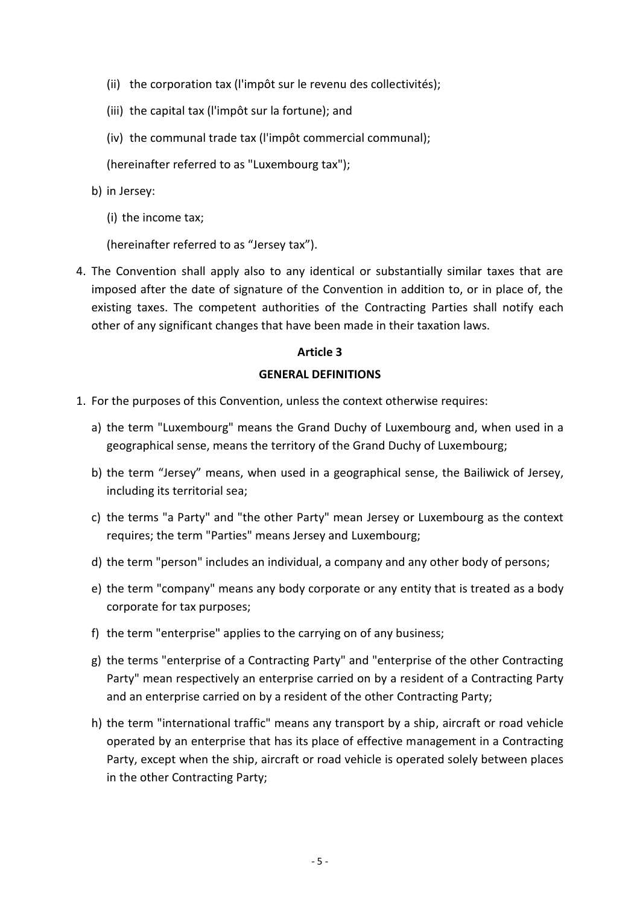- (ii) the corporation tax (l'impôt sur le revenu des collectivités);
- (iii) the capital tax (l'impôt sur la fortune); and
- (iv) the communal trade tax (l'impôt commercial communal);

(hereinafter referred to as "Luxembourg tax");

- b) in Jersey:
	- (i) the income tax;

(hereinafter referred to as "Jersey tax").

4. The Convention shall apply also to any identical or substantially similar taxes that are imposed after the date of signature of the Convention in addition to, or in place of, the existing taxes. The competent authorities of the Contracting Parties shall notify each other of any significant changes that have been made in their taxation laws.

#### **Article 3**

#### **GENERAL DEFINITIONS**

- 1. For the purposes of this Convention, unless the context otherwise requires:
	- a) the term "Luxembourg" means the Grand Duchy of Luxembourg and, when used in a geographical sense, means the territory of the Grand Duchy of Luxembourg;
	- b) the term "Jersey" means, when used in a geographical sense, the Bailiwick of Jersey, including its territorial sea;
	- c) the terms "a Party" and "the other Party" mean Jersey or Luxembourg as the context requires; the term "Parties" means Jersey and Luxembourg;
	- d) the term "person" includes an individual, a company and any other body of persons;
	- e) the term "company" means any body corporate or any entity that is treated as a body corporate for tax purposes;
	- f) the term "enterprise" applies to the carrying on of any business;
	- g) the terms "enterprise of a Contracting Party" and "enterprise of the other Contracting Party" mean respectively an enterprise carried on by a resident of a Contracting Party and an enterprise carried on by a resident of the other Contracting Party;
	- h) the term "international traffic" means any transport by a ship, aircraft or road vehicle operated by an enterprise that has its place of effective management in a Contracting Party, except when the ship, aircraft or road vehicle is operated solely between places in the other Contracting Party;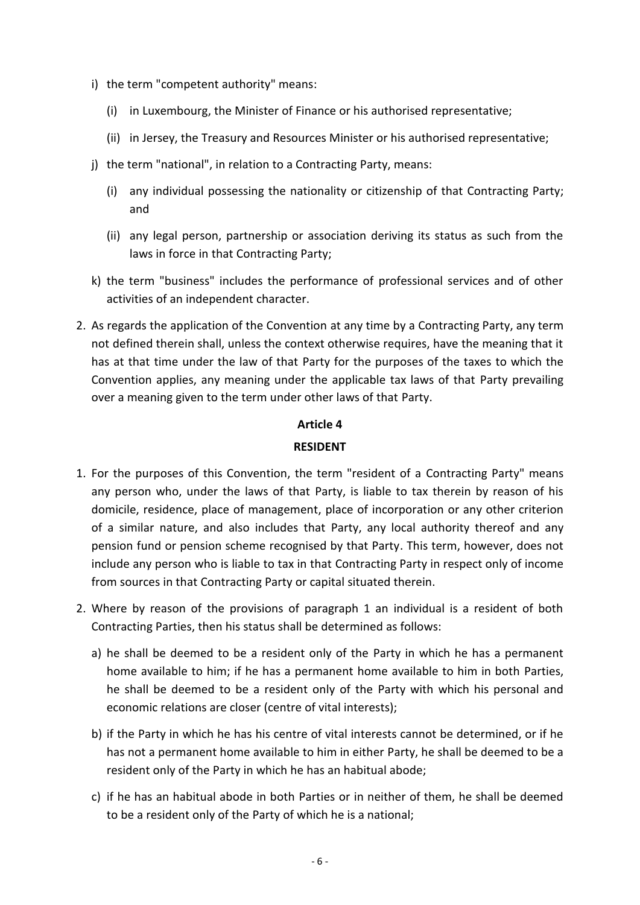- i) the term "competent authority" means:
	- (i) in Luxembourg, the Minister of Finance or his authorised representative;
	- (ii) in Jersey, the Treasury and Resources Minister or his authorised representative;
- j) the term "national", in relation to a Contracting Party, means:
	- (i) any individual possessing the nationality or citizenship of that Contracting Party; and
	- (ii) any legal person, partnership or association deriving its status as such from the laws in force in that Contracting Party;
- k) the term "business" includes the performance of professional services and of other activities of an independent character.
- 2. As regards the application of the Convention at any time by a Contracting Party, any term not defined therein shall, unless the context otherwise requires, have the meaning that it has at that time under the law of that Party for the purposes of the taxes to which the Convention applies, any meaning under the applicable tax laws of that Party prevailing over a meaning given to the term under other laws of that Party.

#### **RESIDENT**

- 1. For the purposes of this Convention, the term "resident of a Contracting Party" means any person who, under the laws of that Party, is liable to tax therein by reason of his domicile, residence, place of management, place of incorporation or any other criterion of a similar nature, and also includes that Party, any local authority thereof and any pension fund or pension scheme recognised by that Party. This term, however, does not include any person who is liable to tax in that Contracting Party in respect only of income from sources in that Contracting Party or capital situated therein.
- 2. Where by reason of the provisions of paragraph 1 an individual is a resident of both Contracting Parties, then his status shall be determined as follows:
	- a) he shall be deemed to be a resident only of the Party in which he has a permanent home available to him; if he has a permanent home available to him in both Parties, he shall be deemed to be a resident only of the Party with which his personal and economic relations are closer (centre of vital interests);
	- b) if the Party in which he has his centre of vital interests cannot be determined, or if he has not a permanent home available to him in either Party, he shall be deemed to be a resident only of the Party in which he has an habitual abode;
	- c) if he has an habitual abode in both Parties or in neither of them, he shall be deemed to be a resident only of the Party of which he is a national;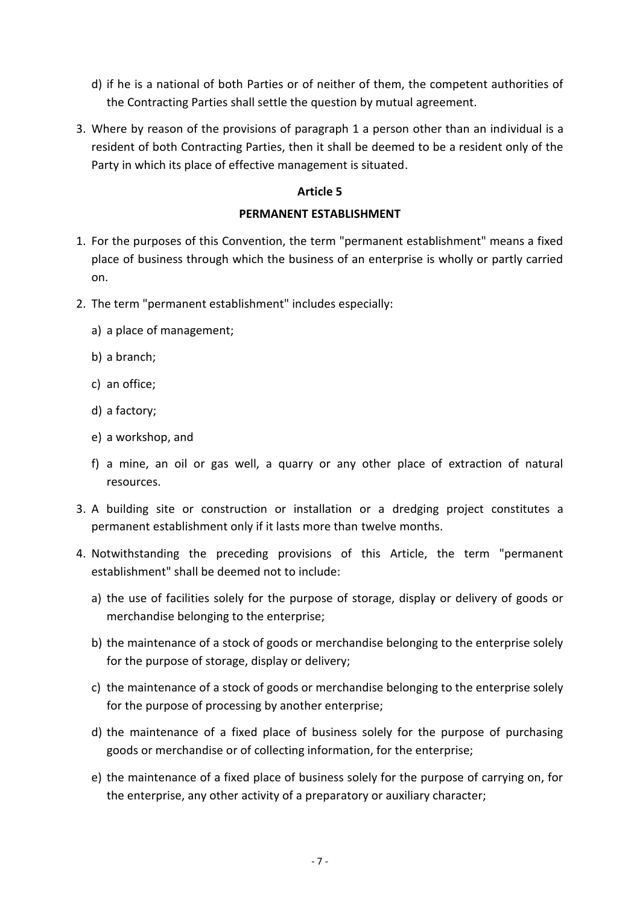- d) if he is a national of both Parties or of neither of them, the competent authorities of the Contracting Parties shall settle the question by mutual agreement.
- 3. Where by reason of the provisions of paragraph 1 a person other than an individual is a resident of both Contracting Parties, then it shall be deemed to be a resident only of the Party in which its place of effective management is situated.

# **PERMANENT ESTABLISHMENT**

- 1. For the purposes of this Convention, the term "permanent establishment" means a fixed place of business through which the business of an enterprise is wholly or partly carried on.
- 2. The term "permanent establishment" includes especially:
	- a) a place of management;
	- b) a branch;
	- c) an office;
	- d) a factory;
	- e) a workshop, and
	- f) a mine, an oil or gas well, a quarry or any other place of extraction of natural resources.
- 3. A building site or construction or installation or a dredging project constitutes a permanent establishment only if it lasts more than twelve months.
- 4. Notwithstanding the preceding provisions of this Article, the term "permanent establishment" shall be deemed not to include:
	- a) the use of facilities solely for the purpose of storage, display or delivery of goods or merchandise belonging to the enterprise;
	- b) the maintenance of a stock of goods or merchandise belonging to the enterprise solely for the purpose of storage, display or delivery;
	- c) the maintenance of a stock of goods or merchandise belonging to the enterprise solely for the purpose of processing by another enterprise;
	- d) the maintenance of a fixed place of business solely for the purpose of purchasing goods or merchandise or of collecting information, for the enterprise;
	- e) the maintenance of a fixed place of business solely for the purpose of carrying on, for the enterprise, any other activity of a preparatory or auxiliary character;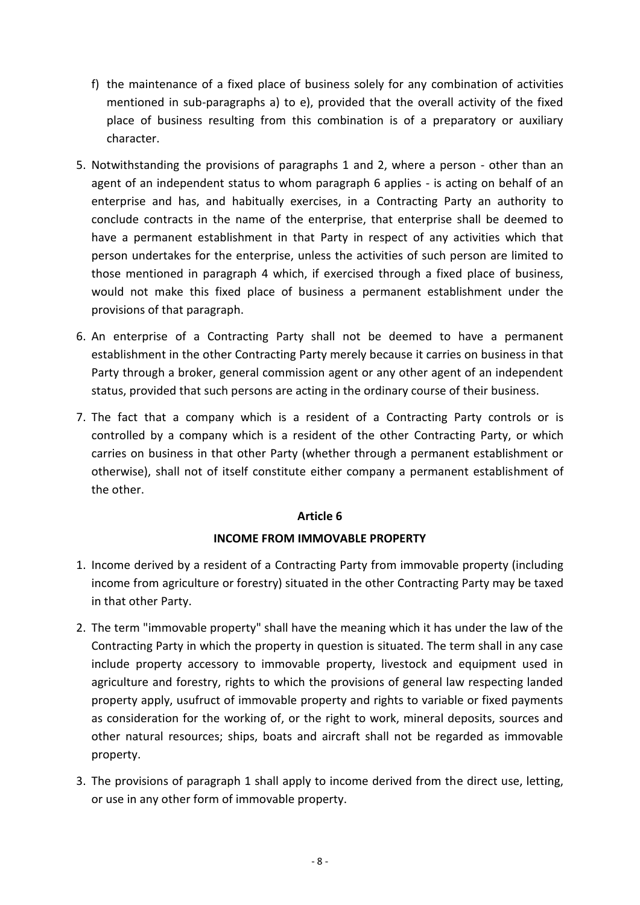- f) the maintenance of a fixed place of business solely for any combination of activities mentioned in sub-paragraphs a) to e), provided that the overall activity of the fixed place of business resulting from this combination is of a preparatory or auxiliary character.
- 5. Notwithstanding the provisions of paragraphs 1 and 2, where a person other than an agent of an independent status to whom paragraph 6 applies - is acting on behalf of an enterprise and has, and habitually exercises, in a Contracting Party an authority to conclude contracts in the name of the enterprise, that enterprise shall be deemed to have a permanent establishment in that Party in respect of any activities which that person undertakes for the enterprise, unless the activities of such person are limited to those mentioned in paragraph 4 which, if exercised through a fixed place of business, would not make this fixed place of business a permanent establishment under the provisions of that paragraph.
- 6. An enterprise of a Contracting Party shall not be deemed to have a permanent establishment in the other Contracting Party merely because it carries on business in that Party through a broker, general commission agent or any other agent of an independent status, provided that such persons are acting in the ordinary course of their business.
- 7. The fact that a company which is a resident of a Contracting Party controls or is controlled by a company which is a resident of the other Contracting Party, or which carries on business in that other Party (whether through a permanent establishment or otherwise), shall not of itself constitute either company a permanent establishment of the other.

# **INCOME FROM IMMOVABLE PROPERTY**

- 1. Income derived by a resident of a Contracting Party from immovable property (including income from agriculture or forestry) situated in the other Contracting Party may be taxed in that other Party.
- 2. The term "immovable property" shall have the meaning which it has under the law of the Contracting Party in which the property in question is situated. The term shall in any case include property accessory to immovable property, livestock and equipment used in agriculture and forestry, rights to which the provisions of general law respecting landed property apply, usufruct of immovable property and rights to variable or fixed payments as consideration for the working of, or the right to work, mineral deposits, sources and other natural resources; ships, boats and aircraft shall not be regarded as immovable property.
- 3. The provisions of paragraph 1 shall apply to income derived from the direct use, letting, or use in any other form of immovable property.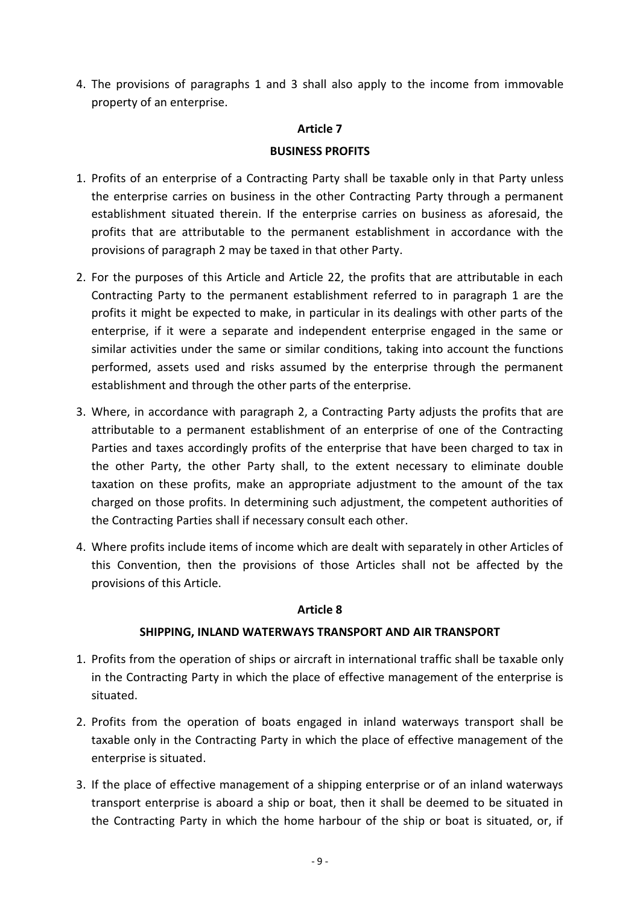4. The provisions of paragraphs 1 and 3 shall also apply to the income from immovable property of an enterprise.

#### **Article 7**

## **BUSINESS PROFITS**

- 1. Profits of an enterprise of a Contracting Party shall be taxable only in that Party unless the enterprise carries on business in the other Contracting Party through a permanent establishment situated therein. If the enterprise carries on business as aforesaid, the profits that are attributable to the permanent establishment in accordance with the provisions of paragraph 2 may be taxed in that other Party.
- 2. For the purposes of this Article and Article 22, the profits that are attributable in each Contracting Party to the permanent establishment referred to in paragraph 1 are the profits it might be expected to make, in particular in its dealings with other parts of the enterprise, if it were a separate and independent enterprise engaged in the same or similar activities under the same or similar conditions, taking into account the functions performed, assets used and risks assumed by the enterprise through the permanent establishment and through the other parts of the enterprise.
- 3. Where, in accordance with paragraph 2, a Contracting Party adjusts the profits that are attributable to a permanent establishment of an enterprise of one of the Contracting Parties and taxes accordingly profits of the enterprise that have been charged to tax in the other Party, the other Party shall, to the extent necessary to eliminate double taxation on these profits, make an appropriate adjustment to the amount of the tax charged on those profits. In determining such adjustment, the competent authorities of the Contracting Parties shall if necessary consult each other.
- 4. Where profits include items of income which are dealt with separately in other Articles of this Convention, then the provisions of those Articles shall not be affected by the provisions of this Article.

#### **Article 8**

#### **SHIPPING, INLAND WATERWAYS TRANSPORT AND AIR TRANSPORT**

- 1. Profits from the operation of ships or aircraft in international traffic shall be taxable only in the Contracting Party in which the place of effective management of the enterprise is situated.
- 2. Profits from the operation of boats engaged in inland waterways transport shall be taxable only in the Contracting Party in which the place of effective management of the enterprise is situated.
- 3. If the place of effective management of a shipping enterprise or of an inland waterways transport enterprise is aboard a ship or boat, then it shall be deemed to be situated in the Contracting Party in which the home harbour of the ship or boat is situated, or, if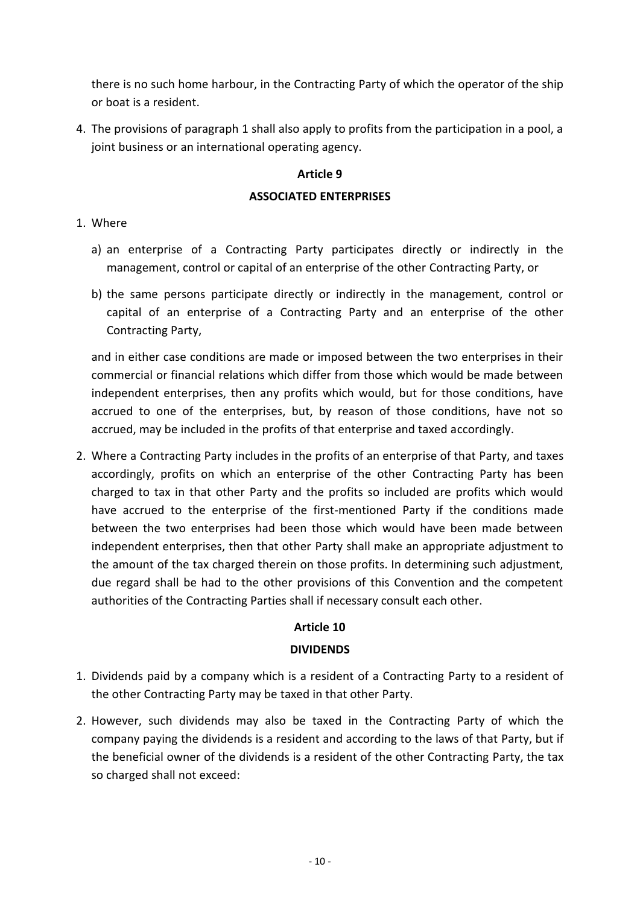there is no such home harbour, in the Contracting Party of which the operator of the ship or boat is a resident.

4. The provisions of paragraph 1 shall also apply to profits from the participation in a pool, a joint business or an international operating agency.

# **Article 9**

# **ASSOCIATED ENTERPRISES**

# 1. Where

- a) an enterprise of a Contracting Party participates directly or indirectly in the management, control or capital of an enterprise of the other Contracting Party, or
- b) the same persons participate directly or indirectly in the management, control or capital of an enterprise of a Contracting Party and an enterprise of the other Contracting Party,

and in either case conditions are made or imposed between the two enterprises in their commercial or financial relations which differ from those which would be made between independent enterprises, then any profits which would, but for those conditions, have accrued to one of the enterprises, but, by reason of those conditions, have not so accrued, may be included in the profits of that enterprise and taxed accordingly.

2. Where a Contracting Party includes in the profits of an enterprise of that Party, and taxes accordingly, profits on which an enterprise of the other Contracting Party has been charged to tax in that other Party and the profits so included are profits which would have accrued to the enterprise of the first-mentioned Party if the conditions made between the two enterprises had been those which would have been made between independent enterprises, then that other Party shall make an appropriate adjustment to the amount of the tax charged therein on those profits. In determining such adjustment, due regard shall be had to the other provisions of this Convention and the competent authorities of the Contracting Parties shall if necessary consult each other.

# **Article 10**

# **DIVIDENDS**

- 1. Dividends paid by a company which is a resident of a Contracting Party to a resident of the other Contracting Party may be taxed in that other Party.
- 2. However, such dividends may also be taxed in the Contracting Party of which the company paying the dividends is a resident and according to the laws of that Party, but if the beneficial owner of the dividends is a resident of the other Contracting Party, the tax so charged shall not exceed: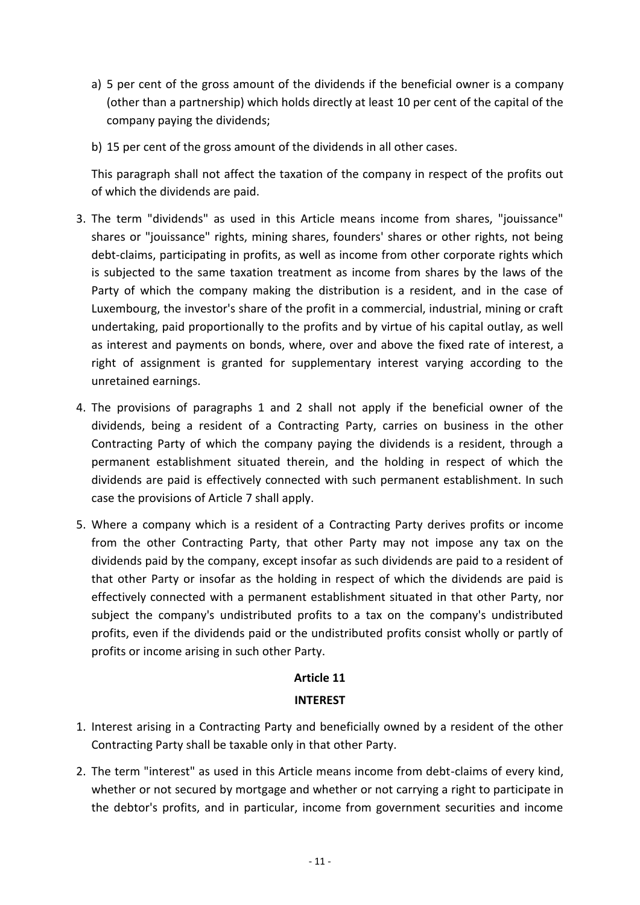- a) 5 per cent of the gross amount of the dividends if the beneficial owner is a company (other than a partnership) which holds directly at least 10 per cent of the capital of the company paying the dividends;
- b) 15 per cent of the gross amount of the dividends in all other cases.

This paragraph shall not affect the taxation of the company in respect of the profits out of which the dividends are paid.

- 3. The term "dividends" as used in this Article means income from shares, "jouissance" shares or "jouissance" rights, mining shares, founders' shares or other rights, not being debt-claims, participating in profits, as well as income from other corporate rights which is subjected to the same taxation treatment as income from shares by the laws of the Party of which the company making the distribution is a resident, and in the case of Luxembourg, the investor's share of the profit in a commercial, industrial, mining or craft undertaking, paid proportionally to the profits and by virtue of his capital outlay, as well as interest and payments on bonds, where, over and above the fixed rate of interest, a right of assignment is granted for supplementary interest varying according to the unretained earnings.
- 4. The provisions of paragraphs 1 and 2 shall not apply if the beneficial owner of the dividends, being a resident of a Contracting Party, carries on business in the other Contracting Party of which the company paying the dividends is a resident, through a permanent establishment situated therein, and the holding in respect of which the dividends are paid is effectively connected with such permanent establishment. In such case the provisions of Article 7 shall apply.
- 5. Where a company which is a resident of a Contracting Party derives profits or income from the other Contracting Party, that other Party may not impose any tax on the dividends paid by the company, except insofar as such dividends are paid to a resident of that other Party or insofar as the holding in respect of which the dividends are paid is effectively connected with a permanent establishment situated in that other Party, nor subject the company's undistributed profits to a tax on the company's undistributed profits, even if the dividends paid or the undistributed profits consist wholly or partly of profits or income arising in such other Party.

# **Article 11**

#### **INTEREST**

- 1. Interest arising in a Contracting Party and beneficially owned by a resident of the other Contracting Party shall be taxable only in that other Party.
- 2. The term "interest" as used in this Article means income from debt-claims of every kind, whether or not secured by mortgage and whether or not carrying a right to participate in the debtor's profits, and in particular, income from government securities and income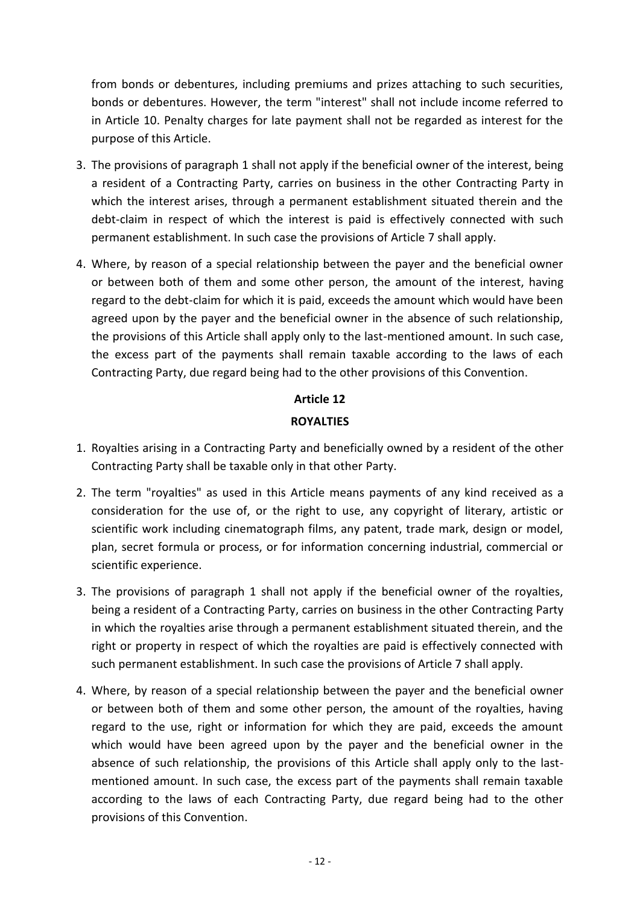from bonds or debentures, including premiums and prizes attaching to such securities, bonds or debentures. However, the term "interest" shall not include income referred to in Article 10. Penalty charges for late payment shall not be regarded as interest for the purpose of this Article.

- 3. The provisions of paragraph 1 shall not apply if the beneficial owner of the interest, being a resident of a Contracting Party, carries on business in the other Contracting Party in which the interest arises, through a permanent establishment situated therein and the debt-claim in respect of which the interest is paid is effectively connected with such permanent establishment. In such case the provisions of Article 7 shall apply.
- 4. Where, by reason of a special relationship between the payer and the beneficial owner or between both of them and some other person, the amount of the interest, having regard to the debt-claim for which it is paid, exceeds the amount which would have been agreed upon by the payer and the beneficial owner in the absence of such relationship, the provisions of this Article shall apply only to the last-mentioned amount. In such case, the excess part of the payments shall remain taxable according to the laws of each Contracting Party, due regard being had to the other provisions of this Convention.

# **Article 12 ROYALTIES**

- 1. Royalties arising in a Contracting Party and beneficially owned by a resident of the other Contracting Party shall be taxable only in that other Party.
- 2. The term "royalties" as used in this Article means payments of any kind received as a consideration for the use of, or the right to use, any copyright of literary, artistic or scientific work including cinematograph films, any patent, trade mark, design or model, plan, secret formula or process, or for information concerning industrial, commercial or scientific experience.
- 3. The provisions of paragraph 1 shall not apply if the beneficial owner of the royalties, being a resident of a Contracting Party, carries on business in the other Contracting Party in which the royalties arise through a permanent establishment situated therein, and the right or property in respect of which the royalties are paid is effectively connected with such permanent establishment. In such case the provisions of Article 7 shall apply.
- 4. Where, by reason of a special relationship between the payer and the beneficial owner or between both of them and some other person, the amount of the royalties, having regard to the use, right or information for which they are paid, exceeds the amount which would have been agreed upon by the payer and the beneficial owner in the absence of such relationship, the provisions of this Article shall apply only to the lastmentioned amount. In such case, the excess part of the payments shall remain taxable according to the laws of each Contracting Party, due regard being had to the other provisions of this Convention.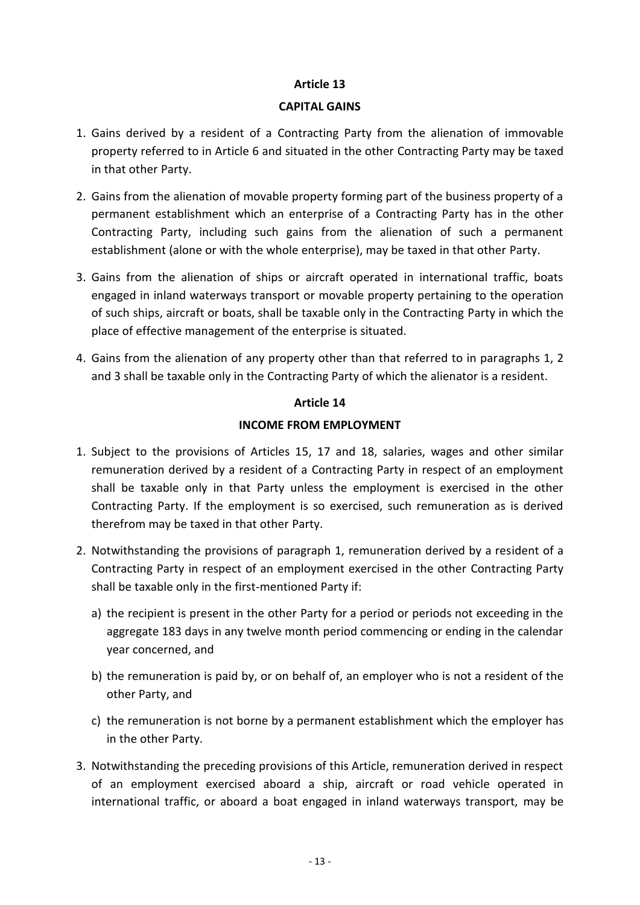#### **CAPITAL GAINS**

- 1. Gains derived by a resident of a Contracting Party from the alienation of immovable property referred to in Article 6 and situated in the other Contracting Party may be taxed in that other Party.
- 2. Gains from the alienation of movable property forming part of the business property of a permanent establishment which an enterprise of a Contracting Party has in the other Contracting Party, including such gains from the alienation of such a permanent establishment (alone or with the whole enterprise), may be taxed in that other Party.
- 3. Gains from the alienation of ships or aircraft operated in international traffic, boats engaged in inland waterways transport or movable property pertaining to the operation of such ships, aircraft or boats, shall be taxable only in the Contracting Party in which the place of effective management of the enterprise is situated.
- 4. Gains from the alienation of any property other than that referred to in paragraphs 1, 2 and 3 shall be taxable only in the Contracting Party of which the alienator is a resident.

# **Article 14**

# **INCOME FROM EMPLOYMENT**

- 1. Subject to the provisions of Articles 15, 17 and 18, salaries, wages and other similar remuneration derived by a resident of a Contracting Party in respect of an employment shall be taxable only in that Party unless the employment is exercised in the other Contracting Party. If the employment is so exercised, such remuneration as is derived therefrom may be taxed in that other Party.
- 2. Notwithstanding the provisions of paragraph 1, remuneration derived by a resident of a Contracting Party in respect of an employment exercised in the other Contracting Party shall be taxable only in the first-mentioned Party if:
	- a) the recipient is present in the other Party for a period or periods not exceeding in the aggregate 183 days in any twelve month period commencing or ending in the calendar year concerned, and
	- b) the remuneration is paid by, or on behalf of, an employer who is not a resident of the other Party, and
	- c) the remuneration is not borne by a permanent establishment which the employer has in the other Party.
- 3. Notwithstanding the preceding provisions of this Article, remuneration derived in respect of an employment exercised aboard a ship, aircraft or road vehicle operated in international traffic, or aboard a boat engaged in inland waterways transport, may be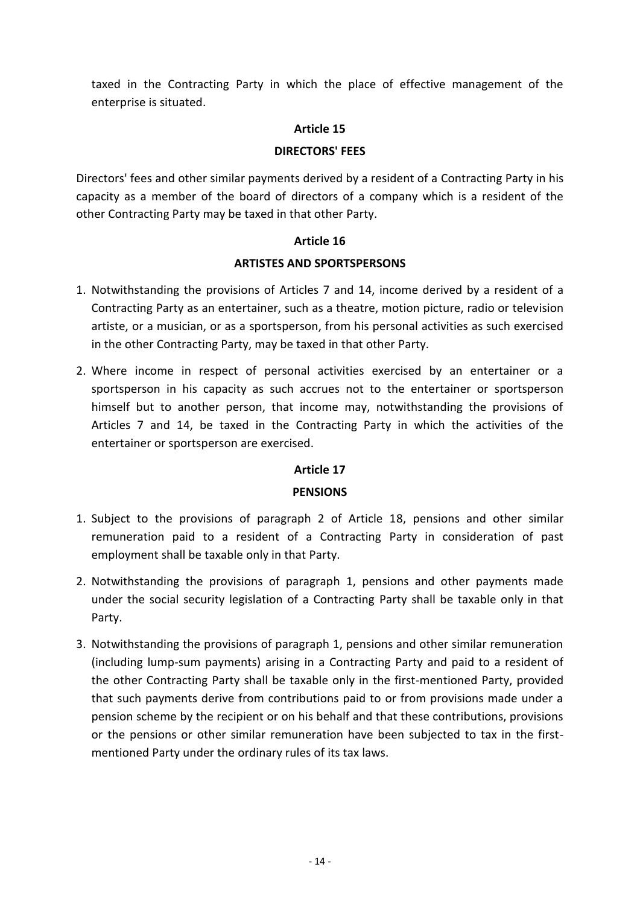taxed in the Contracting Party in which the place of effective management of the enterprise is situated.

## **Article 15**

#### **DIRECTORS' FEES**

Directors' fees and other similar payments derived by a resident of a Contracting Party in his capacity as a member of the board of directors of a company which is a resident of the other Contracting Party may be taxed in that other Party.

#### **Article 16**

#### **ARTISTES AND SPORTSPERSONS**

- 1. Notwithstanding the provisions of Articles 7 and 14, income derived by a resident of a Contracting Party as an entertainer, such as a theatre, motion picture, radio or television artiste, or a musician, or as a sportsperson, from his personal activities as such exercised in the other Contracting Party, may be taxed in that other Party.
- 2. Where income in respect of personal activities exercised by an entertainer or a sportsperson in his capacity as such accrues not to the entertainer or sportsperson himself but to another person, that income may, notwithstanding the provisions of Articles 7 and 14, be taxed in the Contracting Party in which the activities of the entertainer or sportsperson are exercised.

# **Article 17**

# **PENSIONS**

- 1. Subject to the provisions of paragraph 2 of Article 18, pensions and other similar remuneration paid to a resident of a Contracting Party in consideration of past employment shall be taxable only in that Party.
- 2. Notwithstanding the provisions of paragraph 1, pensions and other payments made under the social security legislation of a Contracting Party shall be taxable only in that Party.
- 3. Notwithstanding the provisions of paragraph 1, pensions and other similar remuneration (including lump-sum payments) arising in a Contracting Party and paid to a resident of the other Contracting Party shall be taxable only in the first-mentioned Party, provided that such payments derive from contributions paid to or from provisions made under a pension scheme by the recipient or on his behalf and that these contributions, provisions or the pensions or other similar remuneration have been subjected to tax in the firstmentioned Party under the ordinary rules of its tax laws.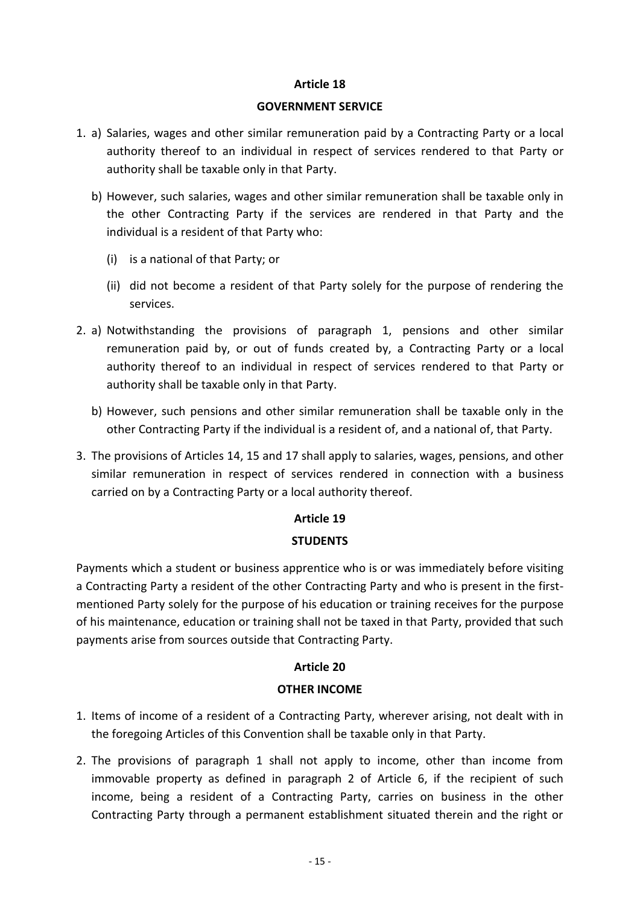#### **GOVERNMENT SERVICE**

- 1. a) Salaries, wages and other similar remuneration paid by a Contracting Party or a local authority thereof to an individual in respect of services rendered to that Party or authority shall be taxable only in that Party.
	- b) However, such salaries, wages and other similar remuneration shall be taxable only in the other Contracting Party if the services are rendered in that Party and the individual is a resident of that Party who:
		- (i) is a national of that Party; or
		- (ii) did not become a resident of that Party solely for the purpose of rendering the services.
- 2. a) Notwithstanding the provisions of paragraph 1, pensions and other similar remuneration paid by, or out of funds created by, a Contracting Party or a local authority thereof to an individual in respect of services rendered to that Party or authority shall be taxable only in that Party.
	- b) However, such pensions and other similar remuneration shall be taxable only in the other Contracting Party if the individual is a resident of, and a national of, that Party.
- 3. The provisions of Articles 14, 15 and 17 shall apply to salaries, wages, pensions, and other similar remuneration in respect of services rendered in connection with a business carried on by a Contracting Party or a local authority thereof.

# **Article 19**

# **STUDENTS**

Payments which a student or business apprentice who is or was immediately before visiting a Contracting Party a resident of the other Contracting Party and who is present in the firstmentioned Party solely for the purpose of his education or training receives for the purpose of his maintenance, education or training shall not be taxed in that Party, provided that such payments arise from sources outside that Contracting Party.

# **Article 20**

# **OTHER INCOME**

- 1. Items of income of a resident of a Contracting Party, wherever arising, not dealt with in the foregoing Articles of this Convention shall be taxable only in that Party.
- 2. The provisions of paragraph 1 shall not apply to income, other than income from immovable property as defined in paragraph 2 of Article 6, if the recipient of such income, being a resident of a Contracting Party, carries on business in the other Contracting Party through a permanent establishment situated therein and the right or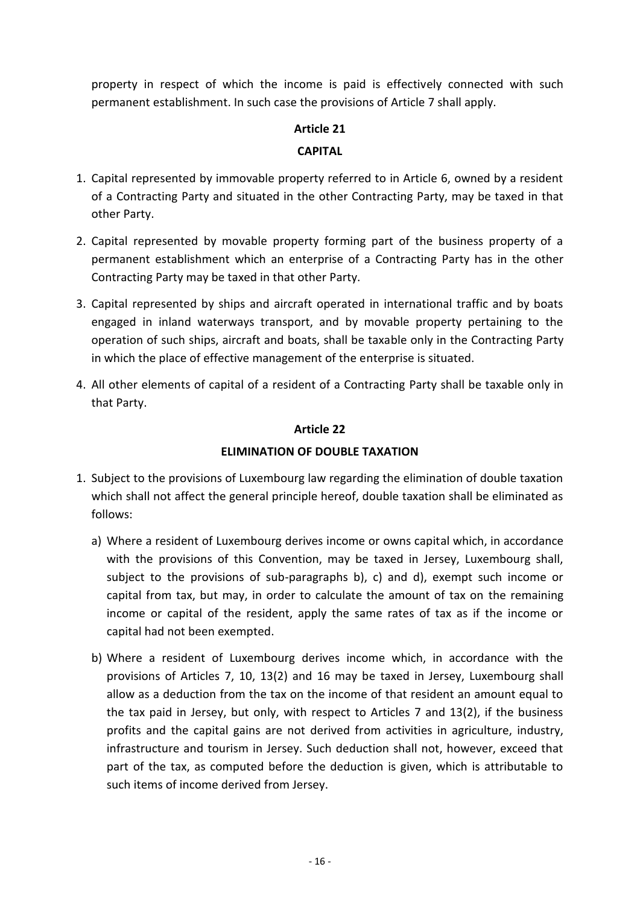property in respect of which the income is paid is effectively connected with such permanent establishment. In such case the provisions of Article 7 shall apply.

# **Article 21**

# **CAPITAL**

- 1. Capital represented by immovable property referred to in Article 6, owned by a resident of a Contracting Party and situated in the other Contracting Party, may be taxed in that other Party.
- 2. Capital represented by movable property forming part of the business property of a permanent establishment which an enterprise of a Contracting Party has in the other Contracting Party may be taxed in that other Party.
- 3. Capital represented by ships and aircraft operated in international traffic and by boats engaged in inland waterways transport, and by movable property pertaining to the operation of such ships, aircraft and boats, shall be taxable only in the Contracting Party in which the place of effective management of the enterprise is situated.
- 4. All other elements of capital of a resident of a Contracting Party shall be taxable only in that Party.

# **Article 22**

# **ELIMINATION OF DOUBLE TAXATION**

- 1. Subject to the provisions of Luxembourg law regarding the elimination of double taxation which shall not affect the general principle hereof, double taxation shall be eliminated as follows:
	- a) Where a resident of Luxembourg derives income or owns capital which, in accordance with the provisions of this Convention, may be taxed in Jersey, Luxembourg shall, subject to the provisions of sub-paragraphs b), c) and d), exempt such income or capital from tax, but may, in order to calculate the amount of tax on the remaining income or capital of the resident, apply the same rates of tax as if the income or capital had not been exempted.
	- b) Where a resident of Luxembourg derives income which, in accordance with the provisions of Articles 7, 10, 13(2) and 16 may be taxed in Jersey, Luxembourg shall allow as a deduction from the tax on the income of that resident an amount equal to the tax paid in Jersey, but only, with respect to Articles 7 and 13(2), if the business profits and the capital gains are not derived from activities in agriculture, industry, infrastructure and tourism in Jersey. Such deduction shall not, however, exceed that part of the tax, as computed before the deduction is given, which is attributable to such items of income derived from Jersey.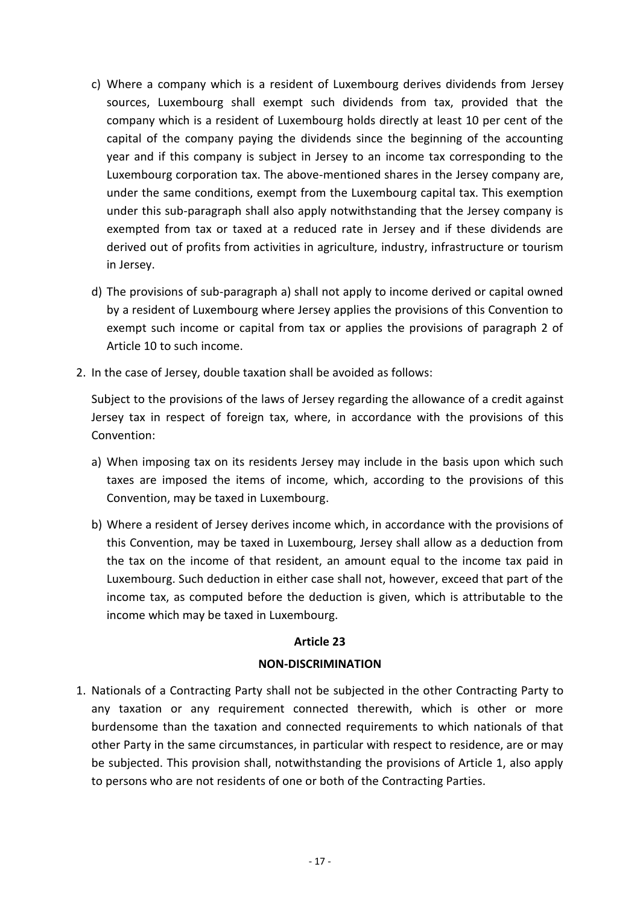- c) Where a company which is a resident of Luxembourg derives dividends from Jersey sources, Luxembourg shall exempt such dividends from tax, provided that the company which is a resident of Luxembourg holds directly at least 10 per cent of the capital of the company paying the dividends since the beginning of the accounting year and if this company is subject in Jersey to an income tax corresponding to the Luxembourg corporation tax. The above-mentioned shares in the Jersey company are, under the same conditions, exempt from the Luxembourg capital tax. This exemption under this sub-paragraph shall also apply notwithstanding that the Jersey company is exempted from tax or taxed at a reduced rate in Jersey and if these dividends are derived out of profits from activities in agriculture, industry, infrastructure or tourism in Jersey.
- d) The provisions of sub-paragraph a) shall not apply to income derived or capital owned by a resident of Luxembourg where Jersey applies the provisions of this Convention to exempt such income or capital from tax or applies the provisions of paragraph 2 of Article 10 to such income.
- 2. In the case of Jersey, double taxation shall be avoided as follows:

Subject to the provisions of the laws of Jersey regarding the allowance of a credit against Jersey tax in respect of foreign tax, where, in accordance with the provisions of this Convention:

- a) When imposing tax on its residents Jersey may include in the basis upon which such taxes are imposed the items of income, which, according to the provisions of this Convention, may be taxed in Luxembourg.
- b) Where a resident of Jersey derives income which, in accordance with the provisions of this Convention, may be taxed in Luxembourg, Jersey shall allow as a deduction from the tax on the income of that resident, an amount equal to the income tax paid in Luxembourg. Such deduction in either case shall not, however, exceed that part of the income tax, as computed before the deduction is given, which is attributable to the income which may be taxed in Luxembourg.

# **Article 23**

# **NON-DISCRIMINATION**

1. Nationals of a Contracting Party shall not be subjected in the other Contracting Party to any taxation or any requirement connected therewith, which is other or more burdensome than the taxation and connected requirements to which nationals of that other Party in the same circumstances, in particular with respect to residence, are or may be subjected. This provision shall, notwithstanding the provisions of Article 1, also apply to persons who are not residents of one or both of the Contracting Parties.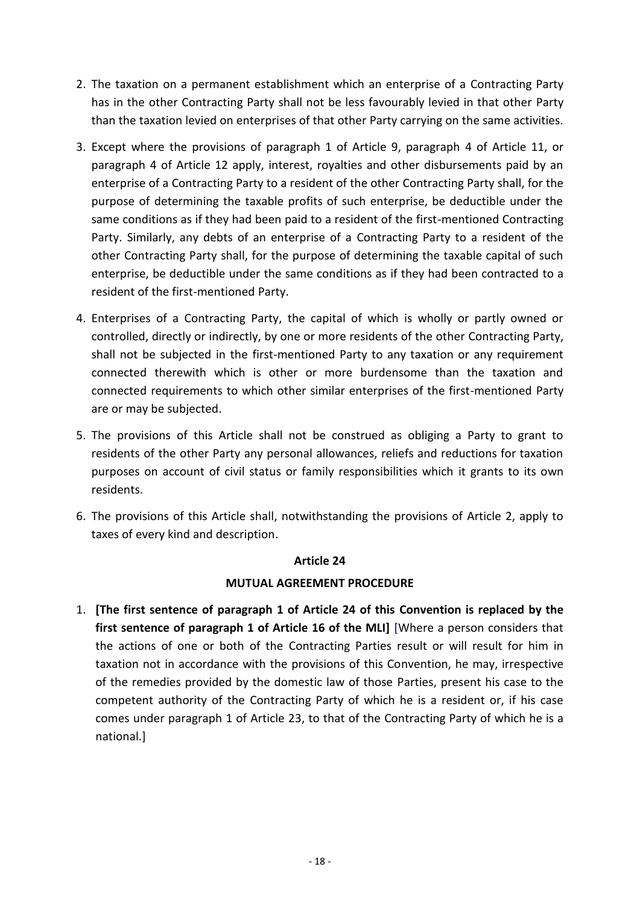- 2. The taxation on a permanent establishment which an enterprise of a Contracting Party has in the other Contracting Party shall not be less favourably levied in that other Party than the taxation levied on enterprises of that other Party carrying on the same activities.
- 3. Except where the provisions of paragraph 1 of Article 9, paragraph 4 of Article 11, or paragraph 4 of Article 12 apply, interest, royalties and other disbursements paid by an enterprise of a Contracting Party to a resident of the other Contracting Party shall, for the purpose of determining the taxable profits of such enterprise, be deductible under the same conditions as if they had been paid to a resident of the first-mentioned Contracting Party. Similarly, any debts of an enterprise of a Contracting Party to a resident of the other Contracting Party shall, for the purpose of determining the taxable capital of such enterprise, be deductible under the same conditions as if they had been contracted to a resident of the first-mentioned Party.
- 4. Enterprises of a Contracting Party, the capital of which is wholly or partly owned or controlled, directly or indirectly, by one or more residents of the other Contracting Party, shall not be subjected in the first-mentioned Party to any taxation or any requirement connected therewith which is other or more burdensome than the taxation and connected requirements to which other similar enterprises of the first-mentioned Party are or may be subjected.
- 5. The provisions of this Article shall not be construed as obliging a Party to grant to residents of the other Party any personal allowances, reliefs and reductions for taxation purposes on account of civil status or family responsibilities which it grants to its own residents.
- 6. The provisions of this Article shall, notwithstanding the provisions of Article 2, apply to taxes of every kind and description.

# **MUTUAL AGREEMENT PROCEDURE**

1. **[The first sentence of paragraph 1 of Article 24 of this Convention is replaced by the first sentence of paragraph 1 of Article 16 of the MLI]** [Where a person considers that the actions of one or both of the Contracting Parties result or will result for him in taxation not in accordance with the provisions of this Convention, he may, irrespective of the remedies provided by the domestic law of those Parties, present his case to the competent authority of the Contracting Party of which he is a resident or, if his case comes under paragraph 1 of Article 23, to that of the Contracting Party of which he is a national.]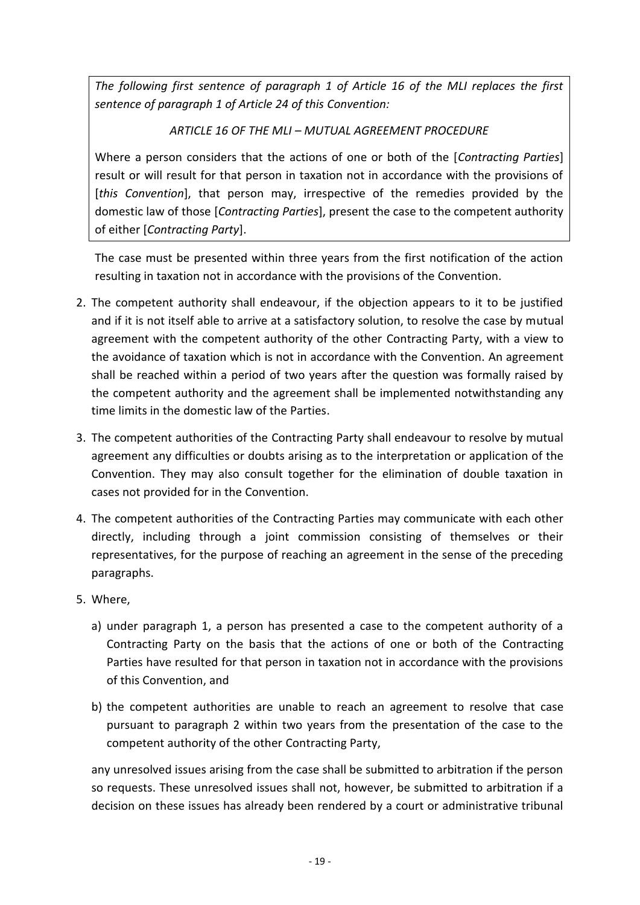*The following first sentence of paragraph 1 of Article 16 of the MLI replaces the first sentence of paragraph 1 of Article 24 of this Convention:*

# *ARTICLE 16 OF THE MLI – MUTUAL AGREEMENT PROCEDURE*

Where a person considers that the actions of one or both of the [*Contracting Parties*] result or will result for that person in taxation not in accordance with the provisions of [*this Convention*], that person may, irrespective of the remedies provided by the domestic law of those [*Contracting Parties*], present the case to the competent authority of either [*Contracting Party*].

The case must be presented within three years from the first notification of the action resulting in taxation not in accordance with the provisions of the Convention.

- 2. The competent authority shall endeavour, if the objection appears to it to be justified and if it is not itself able to arrive at a satisfactory solution, to resolve the case by mutual agreement with the competent authority of the other Contracting Party, with a view to the avoidance of taxation which is not in accordance with the Convention. An agreement shall be reached within a period of two years after the question was formally raised by the competent authority and the agreement shall be implemented notwithstanding any time limits in the domestic law of the Parties.
- 3. The competent authorities of the Contracting Party shall endeavour to resolve by mutual agreement any difficulties or doubts arising as to the interpretation or application of the Convention. They may also consult together for the elimination of double taxation in cases not provided for in the Convention.
- 4. The competent authorities of the Contracting Parties may communicate with each other directly, including through a joint commission consisting of themselves or their representatives, for the purpose of reaching an agreement in the sense of the preceding paragraphs.
- 5. Where,
	- a) under paragraph 1, a person has presented a case to the competent authority of a Contracting Party on the basis that the actions of one or both of the Contracting Parties have resulted for that person in taxation not in accordance with the provisions of this Convention, and
	- b) the competent authorities are unable to reach an agreement to resolve that case pursuant to paragraph 2 within two years from the presentation of the case to the competent authority of the other Contracting Party,

any unresolved issues arising from the case shall be submitted to arbitration if the person so requests. These unresolved issues shall not, however, be submitted to arbitration if a decision on these issues has already been rendered by a court or administrative tribunal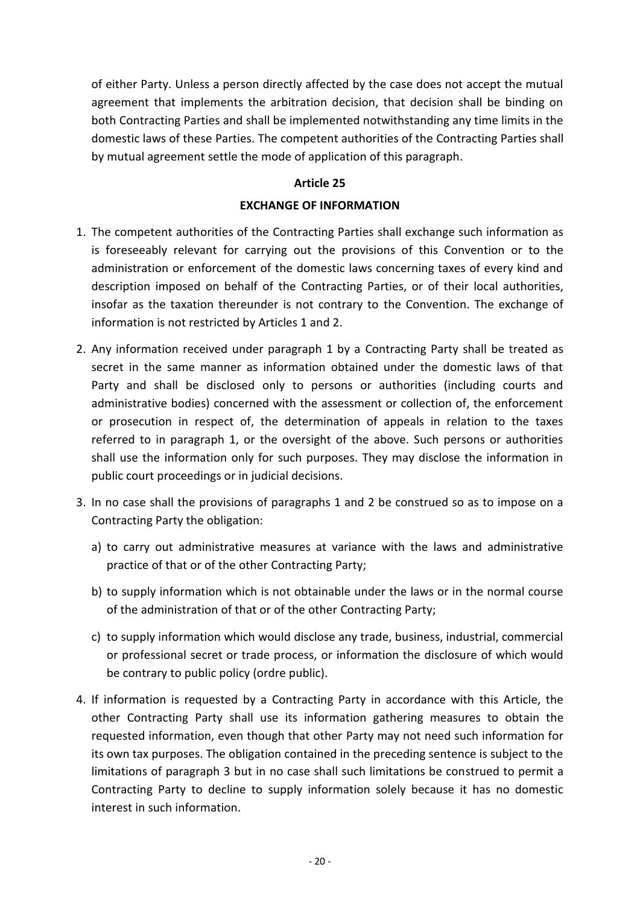of either Party. Unless a person directly affected by the case does not accept the mutual agreement that implements the arbitration decision, that decision shall be binding on both Contracting Parties and shall be implemented notwithstanding any time limits in the domestic laws of these Parties. The competent authorities of the Contracting Parties shall by mutual agreement settle the mode of application of this paragraph.

# **Article 25**

# **EXCHANGE OF INFORMATION**

- 1. The competent authorities of the Contracting Parties shall exchange such information as is foreseeably relevant for carrying out the provisions of this Convention or to the administration or enforcement of the domestic laws concerning taxes of every kind and description imposed on behalf of the Contracting Parties, or of their local authorities, insofar as the taxation thereunder is not contrary to the Convention. The exchange of information is not restricted by Articles 1 and 2.
- 2. Any information received under paragraph 1 by a Contracting Party shall be treated as secret in the same manner as information obtained under the domestic laws of that Party and shall be disclosed only to persons or authorities (including courts and administrative bodies) concerned with the assessment or collection of, the enforcement or prosecution in respect of, the determination of appeals in relation to the taxes referred to in paragraph 1, or the oversight of the above. Such persons or authorities shall use the information only for such purposes. They may disclose the information in public court proceedings or in judicial decisions.
- 3. In no case shall the provisions of paragraphs 1 and 2 be construed so as to impose on a Contracting Party the obligation:
	- a) to carry out administrative measures at variance with the laws and administrative practice of that or of the other Contracting Party;
	- b) to supply information which is not obtainable under the laws or in the normal course of the administration of that or of the other Contracting Party;
	- c) to supply information which would disclose any trade, business, industrial, commercial or professional secret or trade process, or information the disclosure of which would be contrary to public policy (ordre public).
- 4. If information is requested by a Contracting Party in accordance with this Article, the other Contracting Party shall use its information gathering measures to obtain the requested information, even though that other Party may not need such information for its own tax purposes. The obligation contained in the preceding sentence is subject to the limitations of paragraph 3 but in no case shall such limitations be construed to permit a Contracting Party to decline to supply information solely because it has no domestic interest in such information.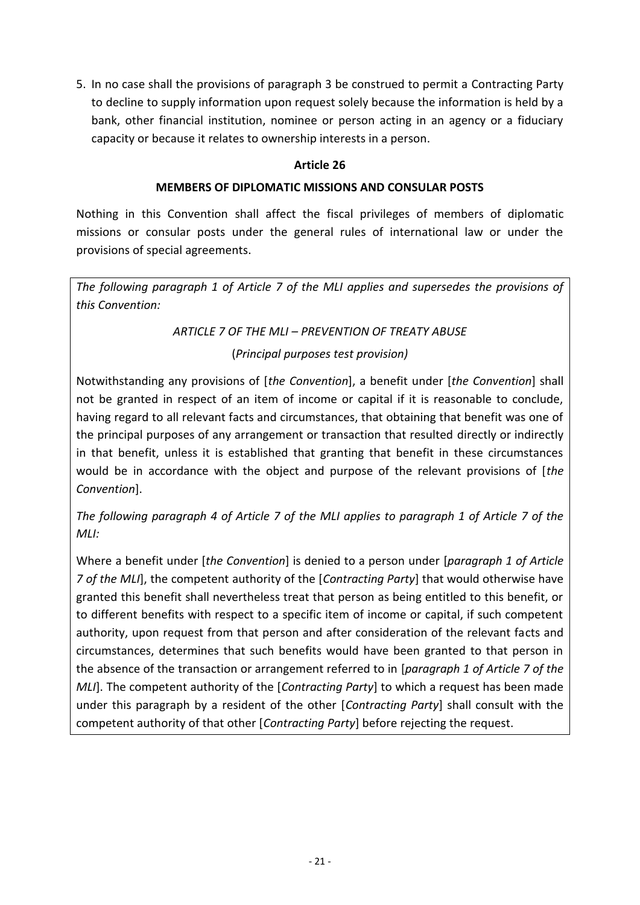5. In no case shall the provisions of paragraph 3 be construed to permit a Contracting Party to decline to supply information upon request solely because the information is held by a bank, other financial institution, nominee or person acting in an agency or a fiduciary capacity or because it relates to ownership interests in a person.

# **Article 26**

# **MEMBERS OF DIPLOMATIC MISSIONS AND CONSULAR POSTS**

Nothing in this Convention shall affect the fiscal privileges of members of diplomatic missions or consular posts under the general rules of international law or under the provisions of special agreements.

*The following paragraph 1 of Article 7 of the MLI applies and supersedes the provisions of this Convention:*

# *ARTICLE 7 OF THE MLI – PREVENTION OF TREATY ABUSE*

# (*Principal purposes test provision)*

Notwithstanding any provisions of [*the Convention*], a benefit under [*the Convention*] shall not be granted in respect of an item of income or capital if it is reasonable to conclude, having regard to all relevant facts and circumstances, that obtaining that benefit was one of the principal purposes of any arrangement or transaction that resulted directly or indirectly in that benefit, unless it is established that granting that benefit in these circumstances would be in accordance with the object and purpose of the relevant provisions of [*the Convention*].

*The following paragraph 4 of Article 7 of the MLI applies to paragraph 1 of Article 7 of the MLI:*

Where a benefit under [*the Convention*] is denied to a person under [*paragraph 1 of Article 7 of the MLI*], the competent authority of the [*Contracting Party*] that would otherwise have granted this benefit shall nevertheless treat that person as being entitled to this benefit, or to different benefits with respect to a specific item of income or capital, if such competent authority, upon request from that person and after consideration of the relevant facts and circumstances, determines that such benefits would have been granted to that person in the absence of the transaction or arrangement referred to in [*paragraph 1 of Article 7 of the MLI*]. The competent authority of the [*Contracting Party*] to which a request has been made under this paragraph by a resident of the other [*Contracting Party*] shall consult with the competent authority of that other [*Contracting Party*] before rejecting the request.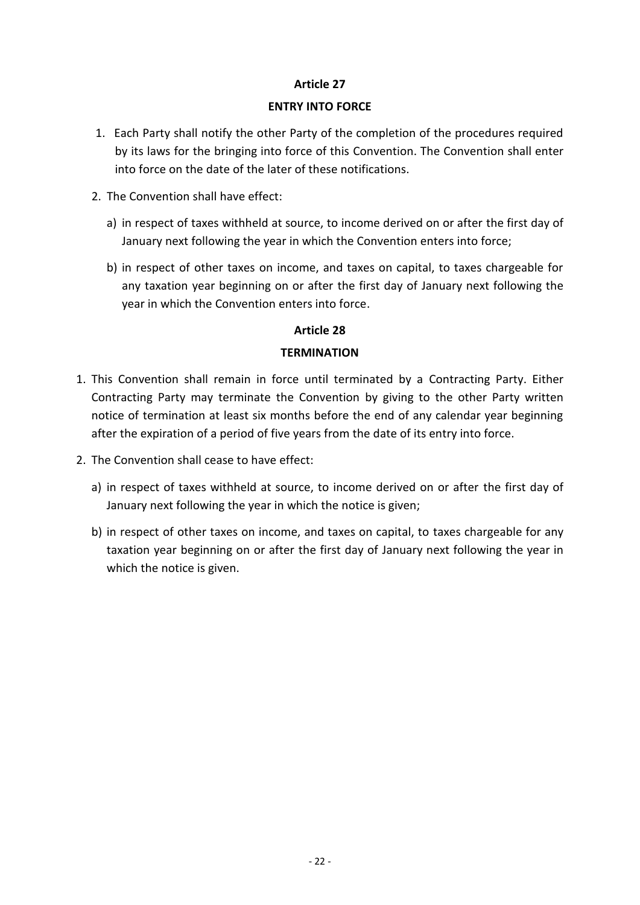#### **ENTRY INTO FORCE**

- 1. Each Party shall notify the other Party of the completion of the procedures required by its laws for the bringing into force of this Convention. The Convention shall enter into force on the date of the later of these notifications.
- 2. The Convention shall have effect:
	- a) in respect of taxes withheld at source, to income derived on or after the first day of January next following the year in which the Convention enters into force;
	- b) in respect of other taxes on income, and taxes on capital, to taxes chargeable for any taxation year beginning on or after the first day of January next following the year in which the Convention enters into force.

#### **Article 28**

#### **TERMINATION**

- 1. This Convention shall remain in force until terminated by a Contracting Party. Either Contracting Party may terminate the Convention by giving to the other Party written notice of termination at least six months before the end of any calendar year beginning after the expiration of a period of five years from the date of its entry into force.
- 2. The Convention shall cease to have effect:
	- a) in respect of taxes withheld at source, to income derived on or after the first day of January next following the year in which the notice is given;
	- b) in respect of other taxes on income, and taxes on capital, to taxes chargeable for any taxation year beginning on or after the first day of January next following the year in which the notice is given.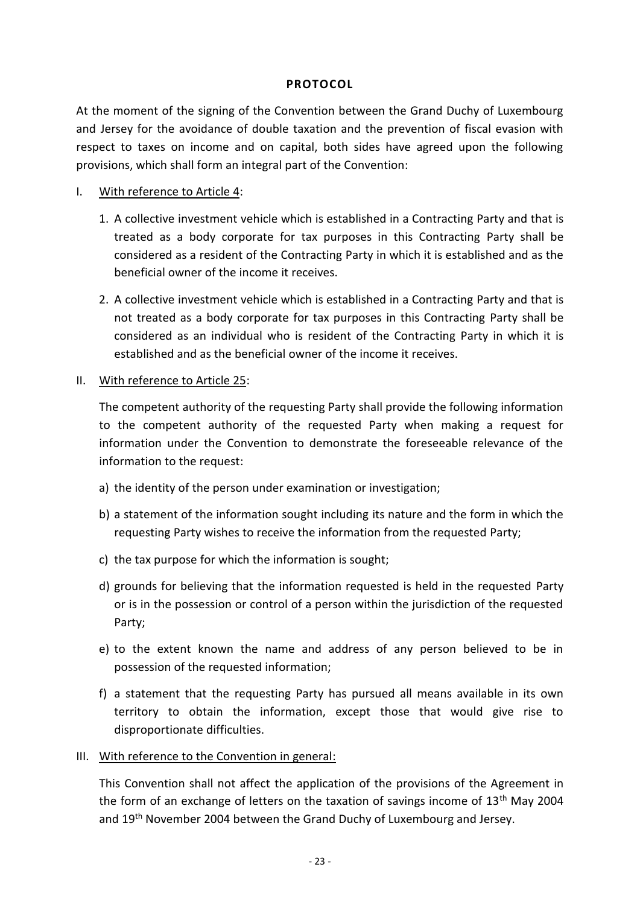#### **PROTOCOL**

At the moment of the signing of the Convention between the Grand Duchy of Luxembourg and Jersey for the avoidance of double taxation and the prevention of fiscal evasion with respect to taxes on income and on capital, both sides have agreed upon the following provisions, which shall form an integral part of the Convention:

## I. With reference to Article 4:

- 1. A collective investment vehicle which is established in a Contracting Party and that is treated as a body corporate for tax purposes in this Contracting Party shall be considered as a resident of the Contracting Party in which it is established and as the beneficial owner of the income it receives.
- 2. A collective investment vehicle which is established in a Contracting Party and that is not treated as a body corporate for tax purposes in this Contracting Party shall be considered as an individual who is resident of the Contracting Party in which it is established and as the beneficial owner of the income it receives.

# II. With reference to Article 25:

The competent authority of the requesting Party shall provide the following information to the competent authority of the requested Party when making a request for information under the Convention to demonstrate the foreseeable relevance of the information to the request:

- a) the identity of the person under examination or investigation;
- b) a statement of the information sought including its nature and the form in which the requesting Party wishes to receive the information from the requested Party;
- c) the tax purpose for which the information is sought;
- d) grounds for believing that the information requested is held in the requested Party or is in the possession or control of a person within the jurisdiction of the requested Party;
- e) to the extent known the name and address of any person believed to be in possession of the requested information;
- f) a statement that the requesting Party has pursued all means available in its own territory to obtain the information, except those that would give rise to disproportionate difficulties.

#### III. With reference to the Convention in general:

This Convention shall not affect the application of the provisions of the Agreement in the form of an exchange of letters on the taxation of savings income of  $13<sup>th</sup>$  May 2004 and 19<sup>th</sup> November 2004 between the Grand Duchy of Luxembourg and Jersey.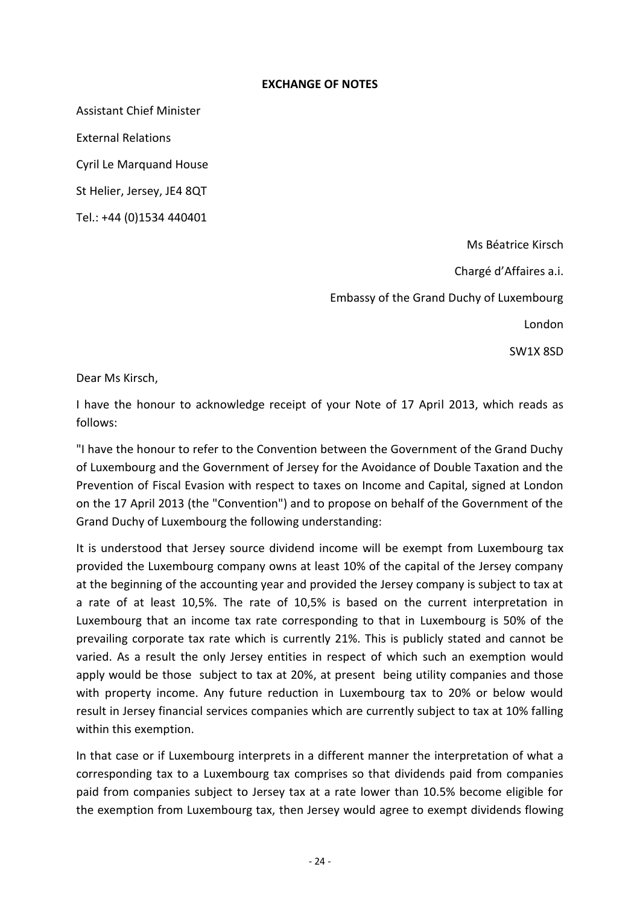#### **EXCHANGE OF NOTES**

Assistant Chief Minister

External Relations

Cyril Le Marquand House

St Helier, Jersey, JE4 8QT

Tel.: +44 (0)1534 440401

Ms Béatrice Kirsch

Chargé d'Affaires a.i. Embassy of the Grand Duchy of Luxembourg

London

SW1X 8SD

Dear Ms Kirsch,

I have the honour to acknowledge receipt of your Note of 17 April 2013, which reads as follows:

"I have the honour to refer to the Convention between the Government of the Grand Duchy of Luxembourg and the Government of Jersey for the Avoidance of Double Taxation and the Prevention of Fiscal Evasion with respect to taxes on Income and Capital, signed at London on the 17 April 2013 (the "Convention") and to propose on behalf of the Government of the Grand Duchy of Luxembourg the following understanding:

It is understood that Jersey source dividend income will be exempt from Luxembourg tax provided the Luxembourg company owns at least 10% of the capital of the Jersey company at the beginning of the accounting year and provided the Jersey company is subject to tax at a rate of at least 10,5%. The rate of 10,5% is based on the current interpretation in Luxembourg that an income tax rate corresponding to that in Luxembourg is 50% of the prevailing corporate tax rate which is currently 21%. This is publicly stated and cannot be varied. As a result the only Jersey entities in respect of which such an exemption would apply would be those subject to tax at 20%, at present being utility companies and those with property income. Any future reduction in Luxembourg tax to 20% or below would result in Jersey financial services companies which are currently subject to tax at 10% falling within this exemption.

In that case or if Luxembourg interprets in a different manner the interpretation of what a corresponding tax to a Luxembourg tax comprises so that dividends paid from companies paid from companies subject to Jersey tax at a rate lower than 10.5% become eligible for the exemption from Luxembourg tax, then Jersey would agree to exempt dividends flowing